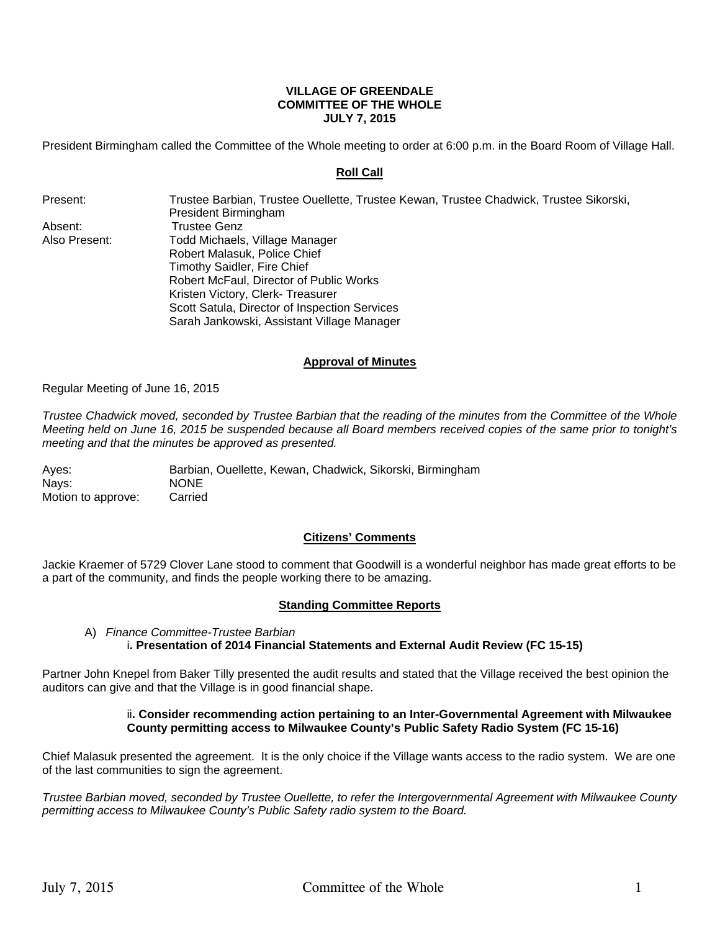## **VILLAGE OF GREENDALE COMMITTEE OF THE WHOLE JULY 7, 2015**

President Birmingham called the Committee of the Whole meeting to order at 6:00 p.m. in the Board Room of Village Hall.

# **Roll Call**

Present: Trustee Barbian, Trustee Ouellette, Trustee Kewan, Trustee Chadwick, Trustee Sikorski, President Birmingham Absent: Trustee Genz Also Present: Todd Michaels, Village Manager Robert Malasuk, Police Chief Timothy Saidler, Fire Chief Robert McFaul, Director of Public Works Kristen Victory, Clerk- Treasurer Scott Satula, Director of Inspection Services Sarah Jankowski, Assistant Village Manager

# **Approval of Minutes**

Regular Meeting of June 16, 2015

*Trustee Chadwick moved, seconded by Trustee Barbian that the reading of the minutes from the Committee of the Whole Meeting held on June 16, 2015 be suspended because all Board members received copies of the same prior to tonight's meeting and that the minutes be approved as presented.* 

Ayes: Barbian, Ouellette, Kewan, Chadwick, Sikorski, Birmingham Nays: NONE Motion to approve: Carried

# **Citizens' Comments**

Jackie Kraemer of 5729 Clover Lane stood to comment that Goodwill is a wonderful neighbor has made great efforts to be a part of the community, and finds the people working there to be amazing.

## **Standing Committee Reports**

## A) *Finance Committee-Trustee Barbian*  i**. Presentation of 2014 Financial Statements and External Audit Review (FC 15-15)**

Partner John Knepel from Baker Tilly presented the audit results and stated that the Village received the best opinion the auditors can give and that the Village is in good financial shape.

## ii**. Consider recommending action pertaining to an Inter-Governmental Agreement with Milwaukee County permitting access to Milwaukee County's Public Safety Radio System (FC 15-16)**

Chief Malasuk presented the agreement. It is the only choice if the Village wants access to the radio system. We are one of the last communities to sign the agreement.

*Trustee Barbian moved, seconded by Trustee Ouellette, to refer the Intergovernmental Agreement with Milwaukee County permitting access to Milwaukee County's Public Safety radio system to the Board.*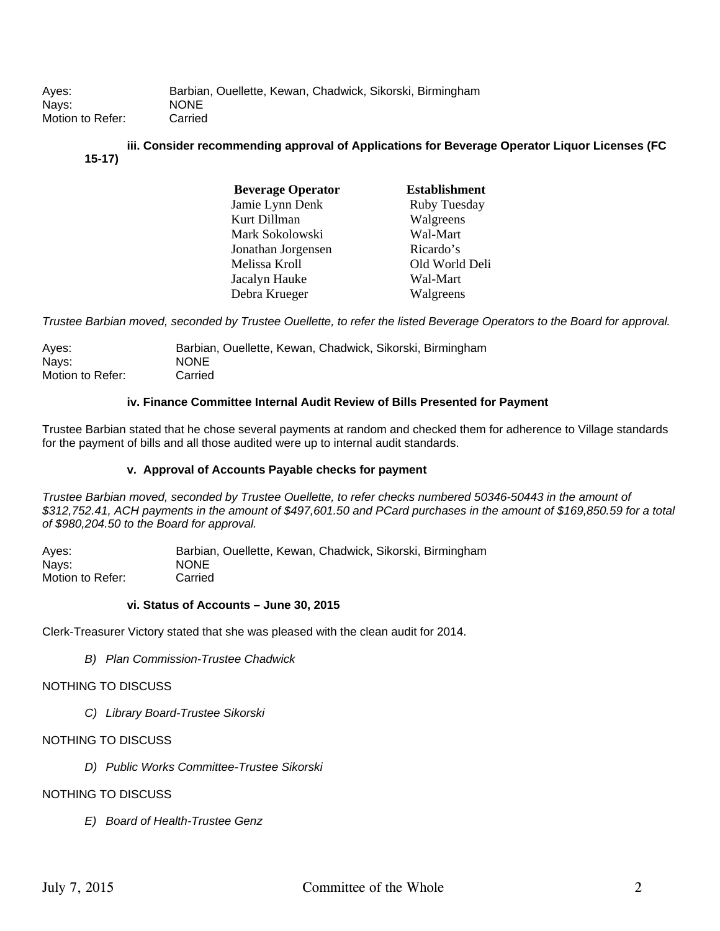# **iii. Consider recommending approval of Applications for Beverage Operator Liquor Licenses (FC 15-17)**

| <b>Beverage Operator</b> | <b>Establishment</b> |
|--------------------------|----------------------|
| Jamie Lynn Denk          | Ruby Tuesday         |
| Kurt Dillman             | Walgreens            |
| Mark Sokolowski          | Wal-Mart             |
| Jonathan Jorgensen       | Ricardo's            |
| Melissa Kroll            | Old World Deli       |
| Jacalyn Hauke            | Wal-Mart             |
| Debra Krueger            | Walgreens            |

*Trustee Barbian moved, seconded by Trustee Ouellette, to refer the listed Beverage Operators to the Board for approval.* 

| Ayes:            | Barbian, Ouellette, Kewan, Chadwick, Sikorski, Birmingham |
|------------------|-----------------------------------------------------------|
| Nays:            | <b>NONE</b>                                               |
| Motion to Refer: | Carried                                                   |

## **iv. Finance Committee Internal Audit Review of Bills Presented for Payment**

Trustee Barbian stated that he chose several payments at random and checked them for adherence to Village standards for the payment of bills and all those audited were up to internal audit standards.

## **v. Approval of Accounts Payable checks for payment**

*Trustee Barbian moved, seconded by Trustee Ouellette, to refer checks numbered 50346-50443 in the amount of \$312,752.41, ACH payments in the amount of \$497,601.50 and PCard purchases in the amount of \$169,850.59 for a total of \$980,204.50 to the Board for approval.* 

Ayes: Barbian, Ouellette, Kewan, Chadwick, Sikorski, Birmingham Nays: NONE Motion to Refer: Carried

#### **vi. Status of Accounts – June 30, 2015**

Clerk-Treasurer Victory stated that she was pleased with the clean audit for 2014.

*B) Plan Commission-Trustee Chadwick* 

#### NOTHING TO DISCUSS

*C) Library Board-Trustee Sikorski* 

# NOTHING TO DISCUSS

*D) Public Works Committee-Trustee Sikorski* 

# NOTHING TO DISCUSS

*E) Board of Health-Trustee Genz*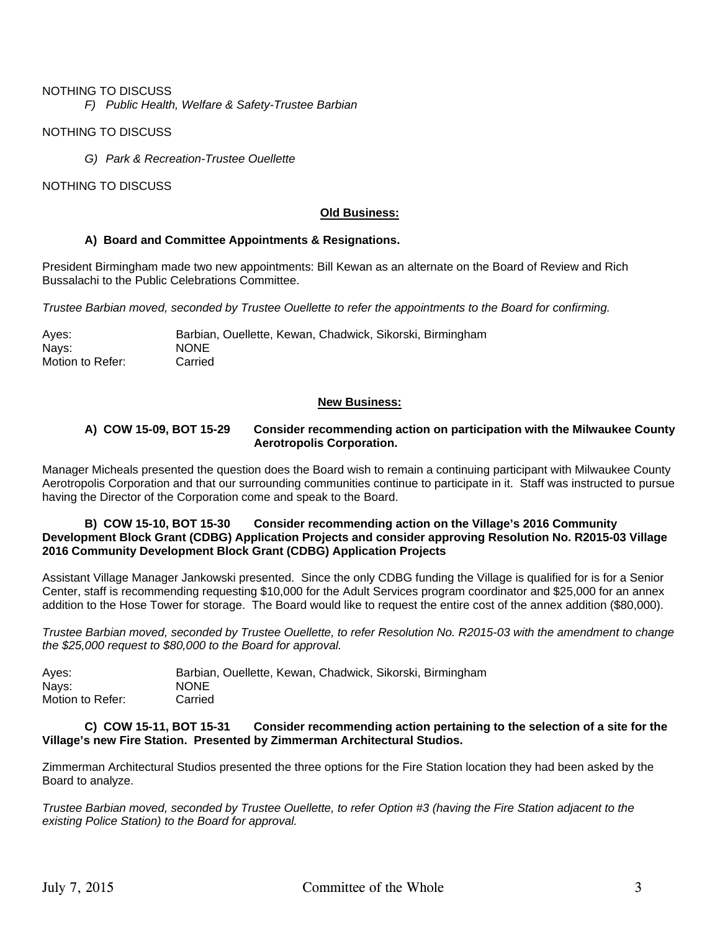# NOTHING TO DISCUSS

*F) Public Health, Welfare & Safety-Trustee Barbian* 

NOTHING TO DISCUSS

*G) Park & Recreation-Trustee Ouellette* 

NOTHING TO DISCUSS

# **Old Business:**

## **A) Board and Committee Appointments & Resignations.**

President Birmingham made two new appointments: Bill Kewan as an alternate on the Board of Review and Rich Bussalachi to the Public Celebrations Committee.

*Trustee Barbian moved, seconded by Trustee Ouellette to refer the appointments to the Board for confirming.* 

Ayes: Barbian, Ouellette, Kewan, Chadwick, Sikorski, Birmingham Nays: NONE<br>
Motion to Refer: Carried Motion to Refer:

#### **New Business:**

#### **A) COW 15-09, BOT 15-29 Consider recommending action on participation with the Milwaukee County Aerotropolis Corporation.**

Manager Micheals presented the question does the Board wish to remain a continuing participant with Milwaukee County Aerotropolis Corporation and that our surrounding communities continue to participate in it. Staff was instructed to pursue having the Director of the Corporation come and speak to the Board.

## **B) COW 15-10, BOT 15-30 Consider recommending action on the Village's 2016 Community Development Block Grant (CDBG) Application Projects and consider approving Resolution No. R2015-03 Village 2016 Community Development Block Grant (CDBG) Application Projects**

Assistant Village Manager Jankowski presented. Since the only CDBG funding the Village is qualified for is for a Senior Center, staff is recommending requesting \$10,000 for the Adult Services program coordinator and \$25,000 for an annex addition to the Hose Tower for storage. The Board would like to request the entire cost of the annex addition (\$80,000).

*Trustee Barbian moved, seconded by Trustee Ouellette, to refer Resolution No. R2015-03 with the amendment to change the \$25,000 request to \$80,000 to the Board for approval.* 

| Aves:            | Barbian, Ouellette, Kewan, Chadwick, Sikorski, Birmingham |
|------------------|-----------------------------------------------------------|
| Navs:            | <b>NONE</b>                                               |
| Motion to Refer: | Carried                                                   |

## **C) COW 15-11, BOT 15-31 Consider recommending action pertaining to the selection of a site for the Village's new Fire Station. Presented by Zimmerman Architectural Studios.**

Zimmerman Architectural Studios presented the three options for the Fire Station location they had been asked by the Board to analyze.

*Trustee Barbian moved, seconded by Trustee Ouellette, to refer Option #3 (having the Fire Station adjacent to the existing Police Station) to the Board for approval.*